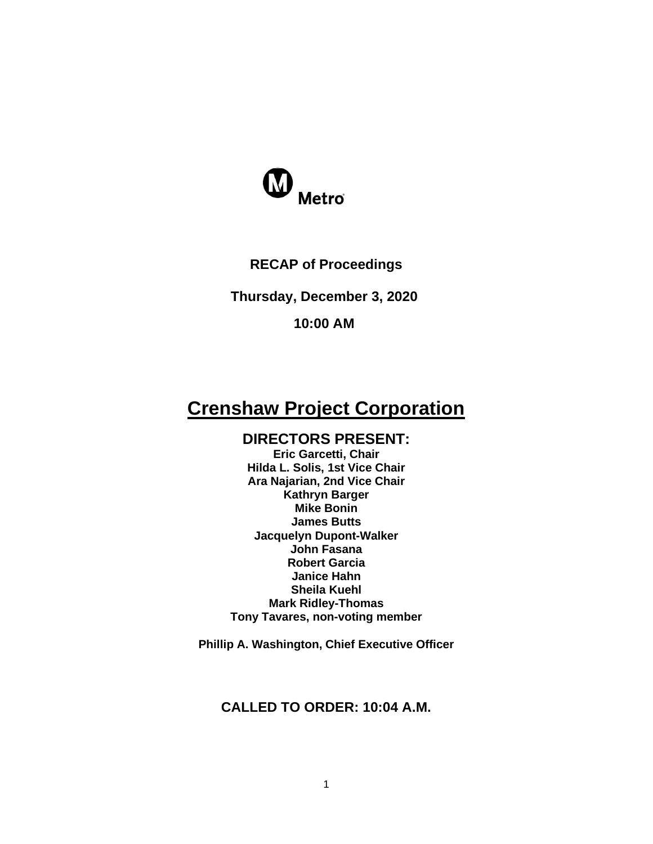

## **RECAP of Proceedings**

**Thursday, December 3, 2020**

#### **10:00 AM**

# **Crenshaw Project Corporation**

## **DIRECTORS PRESENT:**

**Eric Garcetti, Chair Hilda L. Solis, 1st Vice Chair Ara Najarian, 2nd Vice Chair Kathryn Barger Mike Bonin James Butts Jacquelyn Dupont-Walker John Fasana Robert Garcia Janice Hahn Sheila Kuehl Mark Ridley-Thomas Tony Tavares, non-voting member**

**Phillip A. Washington, Chief Executive Officer**

## **CALLED TO ORDER: 10:04 A.M.**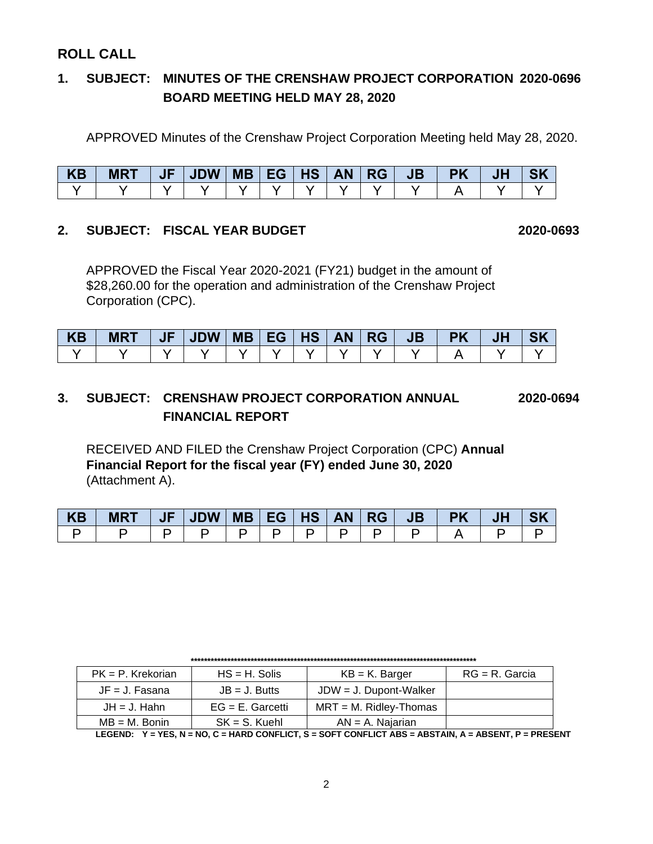## **ROLL CALL**

## **1. SUBJECT: MINUTES OF THE CRENSHAW PROJECT CORPORATION 2020-0696 BOARD MEETING HELD MAY 28, 2020**

APPROVED Minutes of the Crenshaw Project Corporation Meeting held May 28, 2020.

| KB | <b>MRT</b> | JF | JDW <b>S</b> |  |  | MB   EG   HS   AN   RG | JB' | <b>PK</b> | JF |  |
|----|------------|----|--------------|--|--|------------------------|-----|-----------|----|--|
|    |            |    |              |  |  |                        |     |           |    |  |

## **2. SUBJECT: FISCAL YEAR BUDGET 2020-0693**

APPROVED the Fiscal Year 2020-2021 (FY21) budget in the amount of \$28,260.00 for the operation and administration of the Crenshaw Project Corporation (CPC).

| <b>KB</b> | <b>MRT</b> | JF   JDW   MB   EG   HS   AN   RG |  |  | JB | <b>PK</b> | <b>JH</b> |  |
|-----------|------------|-----------------------------------|--|--|----|-----------|-----------|--|
|           |            |                                   |  |  |    |           |           |  |

## **3. SUBJECT: CRENSHAW PROJECT CORPORATION ANNUAL 2020-0694 FINANCIAL REPORT**

RECEIVED AND FILED the Crenshaw Project Corporation (CPC) **Annual Financial Report for the fiscal year (FY) ended June 30, 2020** (Attachment A).

| KB | <b>MRT</b> | $\vert$ JF $\vert$ JDW $\vert$ MB $\vert$ EG $\vert$ HS $\vert$ AN $\vert$ RG $\vert$ |  |  |  | JB PK | JH |  |
|----|------------|---------------------------------------------------------------------------------------|--|--|--|-------|----|--|
|    |            |                                                                                       |  |  |  |       |    |  |

| $PK = P$ . Krekorian | $HS = H$ . Solis    | $KB = K$ . Barger         | $RG = R$ . Garcia |
|----------------------|---------------------|---------------------------|-------------------|
|                      |                     |                           |                   |
| $JF = J$ . Fasana    | $JB = J.$ Butts     | $JDW = J$ . Dupont-Walker |                   |
| $JH = J$ . Hahn      | $EG = E$ . Garcetti | $MRT = M$ . Ridley-Thomas |                   |
| $MB = M$ . Bonin     | $SK = S$ . Kuehl    | $AN = A$ . Najarian       |                   |

**\*\*\*\*\*\*\*\*\*\*\*\*\*\*\*\*\*\*\*\*\*\*\*\*\*\*\*\*\*\*\*\*\*\*\*\*\*\*\*\*\*\*\*\*\*\*\*\*\*\*\*\*\*\*\*\*\*\*\*\*\*\*\*\*\*\*\*\*\*\*\*\*\*\*\*\*\*\*\*\*\*\*\*\*\*\***

**LEGEND: Y = YES, N = NO, C = HARD CONFLICT, S = SOFT CONFLICT ABS = ABSTAIN, A = ABSENT, P = PRESENT**